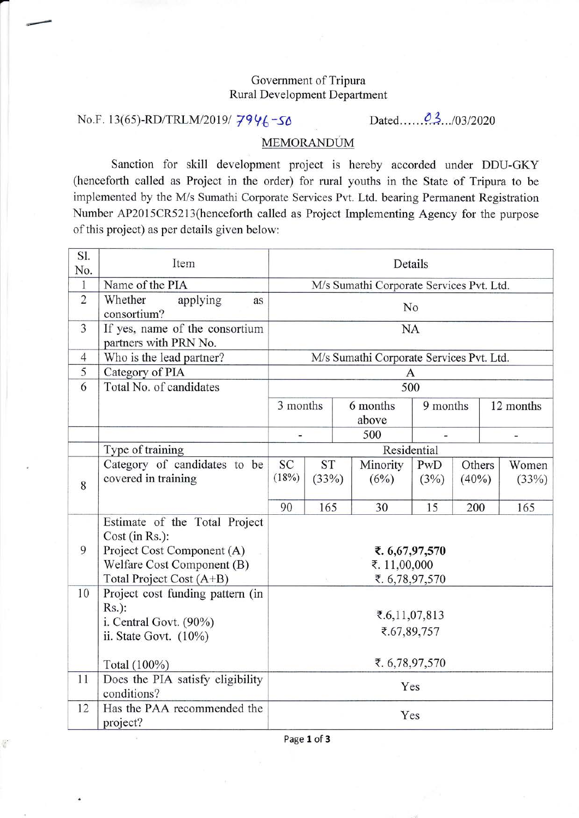## Government of Tripura Rural Development Department

## No.F. 13(65)-RD/TRLM/2019/ 7946-50 Dated......03.../03/2020

|-

¢

## MEMORANDUM

Sanction for skill development project is hereby accorded under DDU-GKY (henceforth called as Project in the order) for rural youths in the State of Tripura to be implemented by the M/s Sumathi Corporate Services Pvt. Ltd. bearing Permanent Registration Number AP2015CR52i3(henceforth called as Project Implementing Agency for the purpose of this project) as per details given below:

| Sl.<br>No.     | Item                                                                                                                                    | Details                                          |     |  |                   |                      |     |           |                |
|----------------|-----------------------------------------------------------------------------------------------------------------------------------------|--------------------------------------------------|-----|--|-------------------|----------------------|-----|-----------|----------------|
| $\mathbf{1}$   | Name of the PIA                                                                                                                         | M/s Sumathi Corporate Services Pvt. Ltd.         |     |  |                   |                      |     |           |                |
| $\overline{2}$ | Whether<br>applying<br>as<br>consortium?                                                                                                | No                                               |     |  |                   |                      |     |           |                |
| 3              | If yes, name of the consortium<br>partners with PRN No.                                                                                 | <b>NA</b>                                        |     |  |                   |                      |     |           |                |
| $\overline{4}$ | Who is the lead partner?                                                                                                                | M/s Sumathi Corporate Services Pvt. Ltd.         |     |  |                   |                      |     |           |                |
| 5              | Category of PIA                                                                                                                         | A                                                |     |  |                   |                      |     |           |                |
| 6              | Total No. of candidates                                                                                                                 | 500                                              |     |  |                   |                      |     |           |                |
|                |                                                                                                                                         | 3 months                                         |     |  | 6 months<br>above | 9 months             |     | 12 months |                |
|                |                                                                                                                                         |                                                  |     |  | 500               |                      |     |           |                |
|                | Type of training                                                                                                                        | Residential                                      |     |  |                   |                      |     |           |                |
| 8              | Category of candidates to be<br>covered in training                                                                                     | SC<br><b>ST</b><br>(18%)<br>(33%)                |     |  | Minority<br>(6%)  | PwD<br>(3%)<br>(40%) |     | Others    | Women<br>(33%) |
|                |                                                                                                                                         | 90                                               | 165 |  | 30                | 15                   | 200 |           | 165            |
| 9              | Estimate of the Total Project<br>Cost (in Rs.):<br>Project Cost Component (A)<br>Welfare Cost Component (B)<br>Total Project Cost (A+B) | ₹. 6,67,97,570<br>₹. 11,00,000<br>₹. 6,78,97,570 |     |  |                   |                      |     |           |                |
| 10             | Project cost funding pattern (in<br>$Rs.$ ):<br>i. Central Govt. (90%)<br>ii. State Govt. (10%)                                         | ₹.6,11,07,813<br>₹.67,89,757                     |     |  |                   |                      |     |           |                |
|                | Total (100%)                                                                                                                            | ₹. 6,78,97,570                                   |     |  |                   |                      |     |           |                |
| 11             | Does the PIA satisfy eligibility<br>conditions?                                                                                         | Yes                                              |     |  |                   |                      |     |           |                |
| 12             | Has the PAA recommended the<br>project?                                                                                                 | Yes                                              |     |  |                   |                      |     |           |                |

Page 1 of 3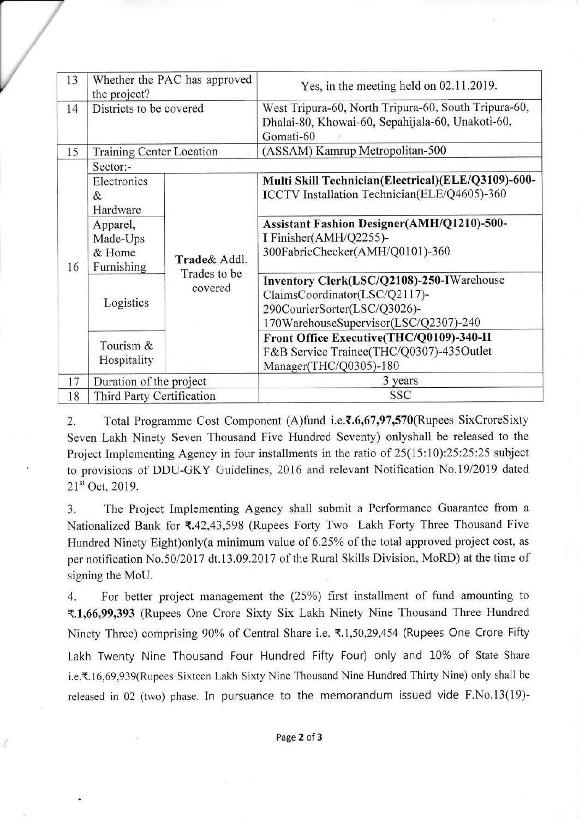| 13 | Whether the PAC has approved<br>the project? |                         | Yes, in the meeting held on $02.11.2019$ .                                                                                                          |  |  |  |  |  |
|----|----------------------------------------------|-------------------------|-----------------------------------------------------------------------------------------------------------------------------------------------------|--|--|--|--|--|
| 14 | Districts to be covered                      |                         | West Tripura-60, North Tripura-60, South Tripura-60,<br>Dhalai-80, Khowai-60, Sepahijala-60, Unakoti-60,<br>Gomati-60                               |  |  |  |  |  |
| 15 | <b>Training Center Location</b>              |                         | (ASSAM) Kamrup Metropolitan-500                                                                                                                     |  |  |  |  |  |
| 16 | Sector:-                                     |                         |                                                                                                                                                     |  |  |  |  |  |
|    | Electronics<br>&<br>Hardware                 |                         | Multi Skill Technician(Electrical)(ELE/Q3109)-600-<br>ICCTV Installation Technician(ELE/Q4605)-360                                                  |  |  |  |  |  |
|    | Apparel,<br>Made-Ups<br>& Home<br>Furnishing | Trade& Addl.            | Assistant Fashion Designer(AMH/Q1210)-500-<br>I Finisher(AMH/Q2255)-<br>300FabricChecker(AMH/Q0101)-360                                             |  |  |  |  |  |
|    | Logistics                                    | Trades to be<br>covered | Inventory Clerk(LSC/Q2108)-250-IWarehouse<br>ClaimsCoordinator(LSC/Q2117)-<br>290CourierSorter(LSC/Q3026)-<br>170WarehouseSupervisor(LSC/Q2307)-240 |  |  |  |  |  |
|    | Tourism &<br>Hospitality                     |                         | Front Office Executive(THC/Q0109)-340-II<br>F&B Service Trainee(THC/Q0307)-435Outlet<br>Manager(THC/Q0305)-180                                      |  |  |  |  |  |
| 17 | Duration of the project                      |                         | 3 years                                                                                                                                             |  |  |  |  |  |
| 18 | Third Party Certification                    |                         | <b>SSC</b>                                                                                                                                          |  |  |  |  |  |

V

4

2. Total Programme Cost Component (A)fund i.e. $\bar{\mathfrak{c}}$ .6,67,97,570(Rupees SixCroreSixty Seven Lakh Ninety Seven Thousand Five Hundred Seventy) onlyshall be released to the Project Implementing Agency in four installments in the ratio of  $25(15:10):25:25:25$  subject to provisions of DDU-GKY Guidelines, 2016 and relevant Notification No.19/2019 dated  $21<sup>st</sup>$  Oct. 2019.

3. The Project Implementing Agency shall submit a Performance Guarantee from <sup>a</sup> Nationalized Bank for  $\text{R42,43,598}$  (Rupees Forty Two Lakh Forty Three Thousand Five Hundred Ninety Eight)only(a minimum value of 6.25% of the total approved project cost, as per notification No.50/2017 dt.13.09.2017 of the Rural Skills Division, MoRD) at the time of signing the MoU.

4. For better project management the (25%) first installment of fund amounting to <.1,66,991393 (Rupees One Crore Sixty Six Lakh Ninety Nine Thousand Three Hundred Ninety Three) comprising 90% of Central Share i.e. ₹.1,50,29,454 (Rupees One Crore Fifty Lakh Twenty Nine Thousand Four Hundred Fifty Four) only and 10% of State Share i.e.₹.16,69,939(Rupees Sixteen Lakh Sixty Nine Thousand Nine Hundred Thirty Nine) only shall be released in 02 (two) phase. In pursuance to the memorandum issued vide F.No.13(19)-